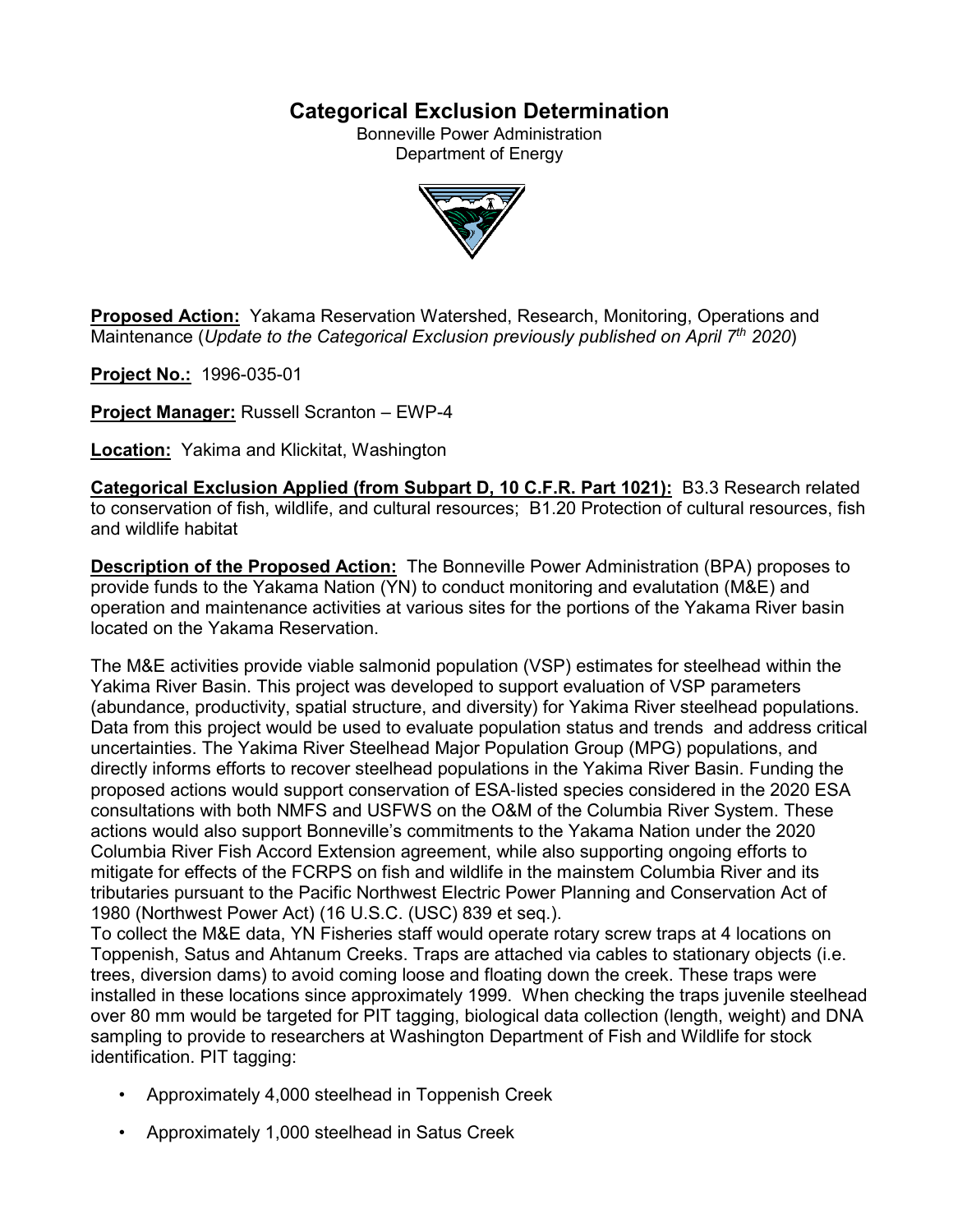# **Categorical Exclusion Determination**

Bonneville Power Administration Department of Energy



**Proposed Action:** Yakama Reservation Watershed, Research, Monitoring, Operations and Maintenance (*Update to the Categorical Exclusion previously published on April 7th 2020*)

**Project No.:** 1996-035-01

**Project Manager:** Russell Scranton – EWP-4

**Location:** Yakima and Klickitat, Washington

**Categorical Exclusion Applied (from Subpart D, 10 C.F.R. Part 1021):** B3.3 Research related to conservation of fish, wildlife, and cultural resources; B1.20 Protection of cultural resources, fish and wildlife habitat

**Description of the Proposed Action:** The Bonneville Power Administration (BPA) proposes to provide funds to the Yakama Nation (YN) to conduct monitoring and evalutation (M&E) and operation and maintenance activities at various sites for the portions of the Yakama River basin located on the Yakama Reservation.

The M&E activities provide viable salmonid population (VSP) estimates for steelhead within the Yakima River Basin. This project was developed to support evaluation of VSP parameters (abundance, productivity, spatial structure, and diversity) for Yakima River steelhead populations. Data from this project would be used to evaluate population status and trends and address critical uncertainties. The Yakima River Steelhead Major Population Group (MPG) populations, and directly informs efforts to recover steelhead populations in the Yakima River Basin. Funding the proposed actions would support conservation of ESA‐listed species considered in the 2020 ESA consultations with both NMFS and USFWS on the O&M of the Columbia River System. These actions would also support Bonneville's commitments to the Yakama Nation under the 2020 Columbia River Fish Accord Extension agreement, while also supporting ongoing efforts to mitigate for effects of the FCRPS on fish and wildlife in the mainstem Columbia River and its tributaries pursuant to the Pacific Northwest Electric Power Planning and Conservation Act of 1980 (Northwest Power Act) (16 U.S.C. (USC) 839 et seq.).

To collect the M&E data, YN Fisheries staff would operate rotary screw traps at 4 locations on Toppenish, Satus and Ahtanum Creeks. Traps are attached via cables to stationary objects (i.e. trees, diversion dams) to avoid coming loose and floating down the creek. These traps were installed in these locations since approximately 1999. When checking the traps juvenile steelhead over 80 mm would be targeted for PIT tagging, biological data collection (length, weight) and DNA sampling to provide to researchers at Washington Department of Fish and Wildlife for stock identification. PIT tagging:

- Approximately 4,000 steelhead in Toppenish Creek
- Approximately 1,000 steelhead in Satus Creek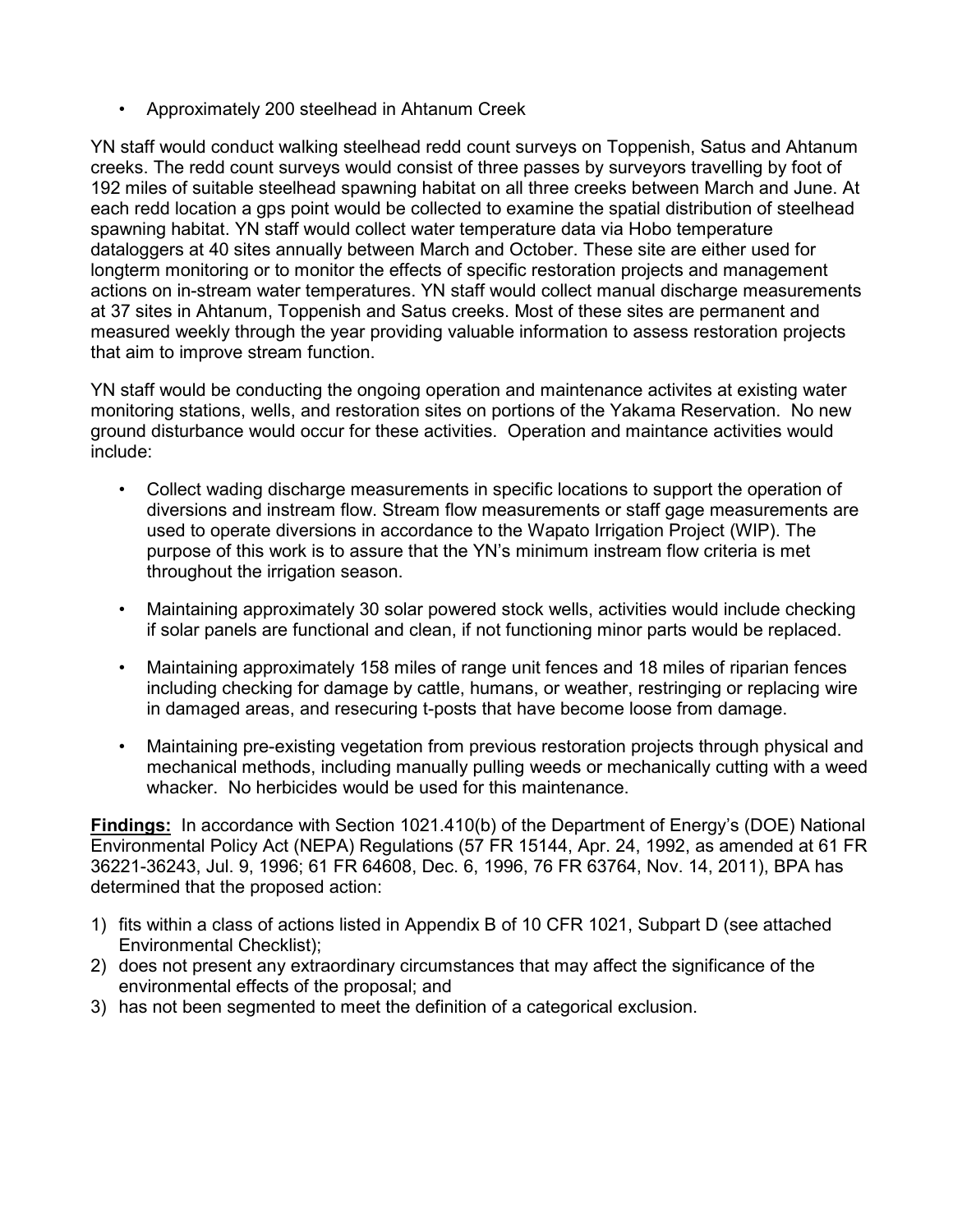• Approximately 200 steelhead in Ahtanum Creek

YN staff would conduct walking steelhead redd count surveys on Toppenish, Satus and Ahtanum creeks. The redd count surveys would consist of three passes by surveyors travelling by foot of 192 miles of suitable steelhead spawning habitat on all three creeks between March and June. At each redd location a gps point would be collected to examine the spatial distribution of steelhead spawning habitat. YN staff would collect water temperature data via Hobo temperature dataloggers at 40 sites annually between March and October. These site are either used for longterm monitoring or to monitor the effects of specific restoration projects and management actions on in-stream water temperatures. YN staff would collect manual discharge measurements at 37 sites in Ahtanum, Toppenish and Satus creeks. Most of these sites are permanent and measured weekly through the year providing valuable information to assess restoration projects that aim to improve stream function.

YN staff would be conducting the ongoing operation and maintenance activites at existing water monitoring stations, wells, and restoration sites on portions of the Yakama Reservation. No new ground disturbance would occur for these activities. Operation and maintance activities would include:

- Collect wading discharge measurements in specific locations to support the operation of diversions and instream flow. Stream flow measurements or staff gage measurements are used to operate diversions in accordance to the Wapato Irrigation Project (WIP). The purpose of this work is to assure that the YN's minimum instream flow criteria is met throughout the irrigation season.
- Maintaining approximately 30 solar powered stock wells, activities would include checking if solar panels are functional and clean, if not functioning minor parts would be replaced.
- Maintaining approximately 158 miles of range unit fences and 18 miles of riparian fences including checking for damage by cattle, humans, or weather, restringing or replacing wire in damaged areas, and resecuring t-posts that have become loose from damage.
- Maintaining pre-existing vegetation from previous restoration projects through physical and mechanical methods, including manually pulling weeds or mechanically cutting with a weed whacker. No herbicides would be used for this maintenance.

**Findings:** In accordance with Section 1021.410(b) of the Department of Energy's (DOE) National Environmental Policy Act (NEPA) Regulations (57 FR 15144, Apr. 24, 1992, as amended at 61 FR 36221-36243, Jul. 9, 1996; 61 FR 64608, Dec. 6, 1996, 76 FR 63764, Nov. 14, 2011), BPA has determined that the proposed action:

- 1) fits within a class of actions listed in Appendix B of 10 CFR 1021, Subpart D (see attached Environmental Checklist);
- 2) does not present any extraordinary circumstances that may affect the significance of the environmental effects of the proposal; and
- 3) has not been segmented to meet the definition of a categorical exclusion.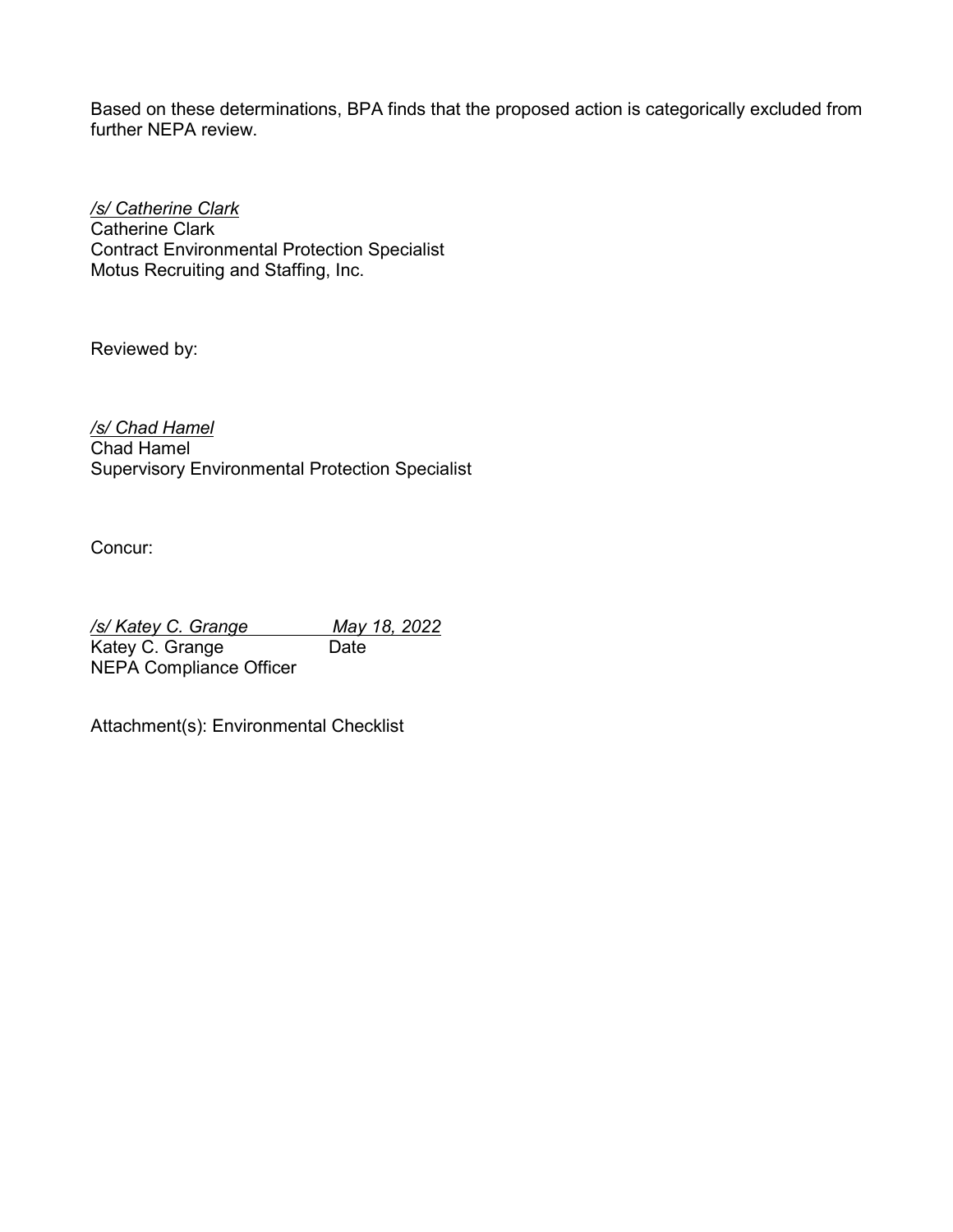Based on these determinations, BPA finds that the proposed action is categorically excluded from further NEPA review.

*/s/ Catherine Clark* Catherine Clark Contract Environmental Protection Specialist Motus Recruiting and Staffing, Inc.

Reviewed by:

*/s/ Chad Hamel* Chad Hamel

Supervisory Environmental Protection Specialist

Concur:

*/s/ Katey C. Grange May 18, 2022* Katey C. Grange NEPA Compliance Officer

Attachment(s): Environmental Checklist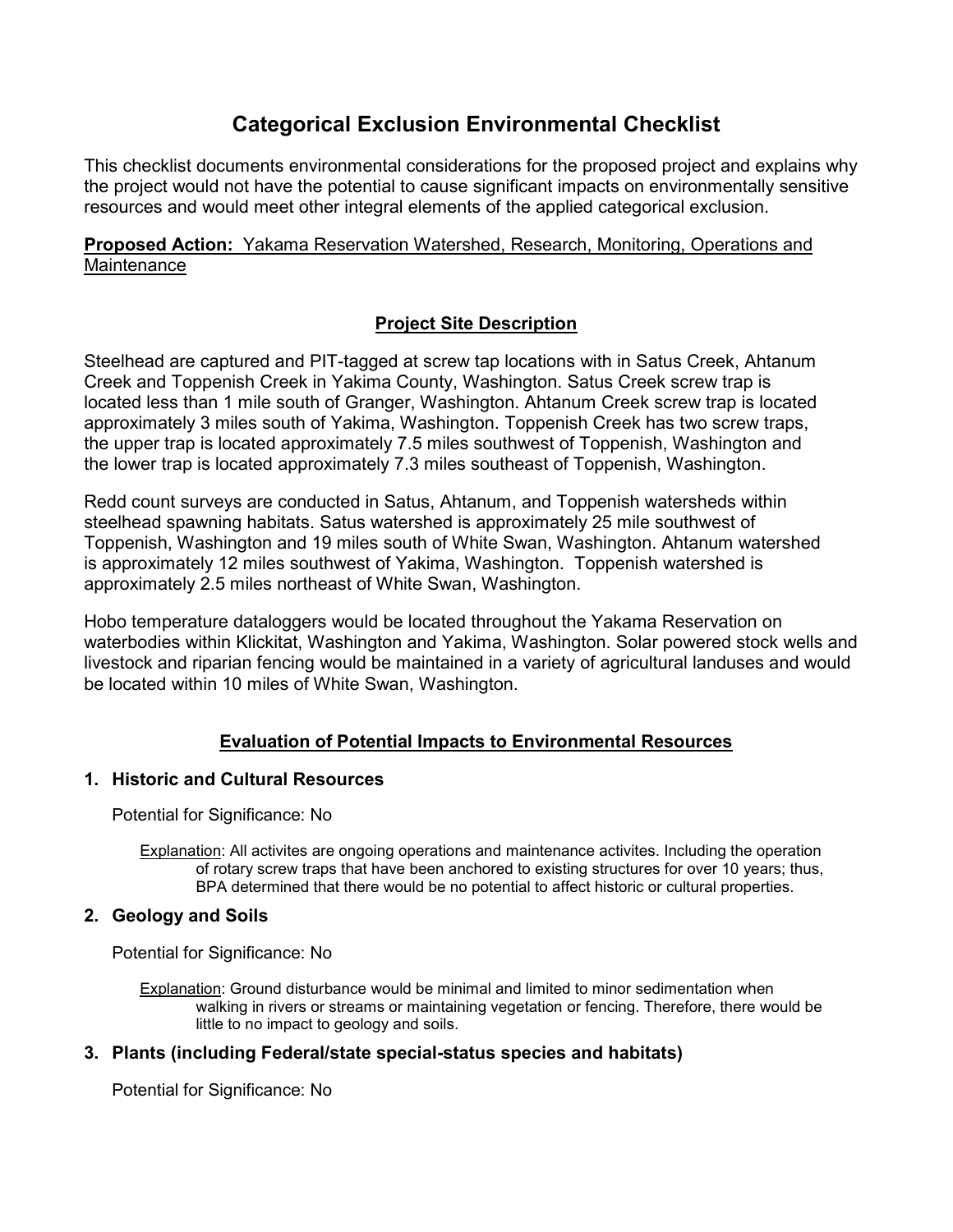# **Categorical Exclusion Environmental Checklist**

This checklist documents environmental considerations for the proposed project and explains why the project would not have the potential to cause significant impacts on environmentally sensitive resources and would meet other integral elements of the applied categorical exclusion.

# **Proposed Action:** Yakama Reservation Watershed, Research, Monitoring, Operations and **Maintenance**

# **Project Site Description**

Steelhead are captured and PIT-tagged at screw tap locations with in Satus Creek, Ahtanum Creek and Toppenish Creek in Yakima County, Washington. Satus Creek screw trap is located less than 1 mile south of Granger, Washington. Ahtanum Creek screw trap is located approximately 3 miles south of Yakima, Washington. Toppenish Creek has two screw traps, the upper trap is located approximately 7.5 miles southwest of Toppenish, Washington and the lower trap is located approximately 7.3 miles southeast of Toppenish, Washington.

Redd count surveys are conducted in Satus, Ahtanum, and Toppenish watersheds within steelhead spawning habitats. Satus watershed is approximately 25 mile southwest of Toppenish, Washington and 19 miles south of White Swan, Washington. Ahtanum watershed is approximately 12 miles southwest of Yakima, Washington. Toppenish watershed is approximately 2.5 miles northeast of White Swan, Washington.

Hobo temperature dataloggers would be located throughout the Yakama Reservation on waterbodies within Klickitat, Washington and Yakima, Washington. Solar powered stock wells and livestock and riparian fencing would be maintained in a variety of agricultural landuses and would be located within 10 miles of White Swan, Washington.

# **Evaluation of Potential Impacts to Environmental Resources**

## **1. Historic and Cultural Resources**

Potential for Significance: No

Explanation: All activites are ongoing operations and maintenance activites. Including the operation of rotary screw traps that have been anchored to existing structures for over 10 years; thus, BPA determined that there would be no potential to affect historic or cultural properties.

## **2. Geology and Soils**

Potential for Significance: No

Explanation: Ground disturbance would be minimal and limited to minor sedimentation when walking in rivers or streams or maintaining vegetation or fencing. Therefore, there would be little to no impact to geology and soils.

## **3. Plants (including Federal/state special-status species and habitats)**

Potential for Significance: No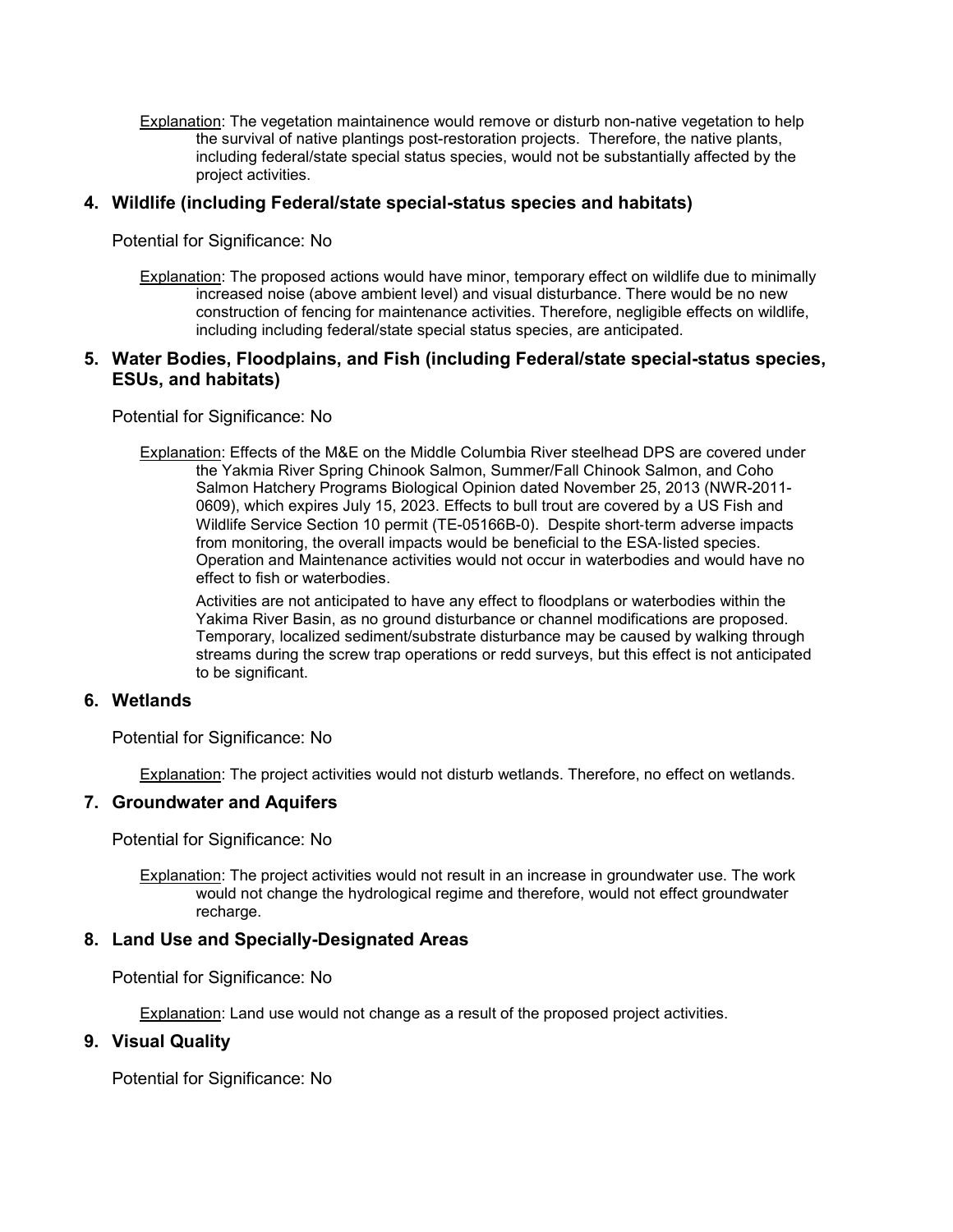Explanation: The vegetation maintainence would remove or disturb non-native vegetation to help the survival of native plantings post-restoration projects. Therefore, the native plants, including federal/state special status species, would not be substantially affected by the project activities.

### **4. Wildlife (including Federal/state special-status species and habitats)**

Potential for Significance: No

Explanation: The proposed actions would have minor, temporary effect on wildlife due to minimally increased noise (above ambient level) and visual disturbance. There would be no new construction of fencing for maintenance activities. Therefore, negligible effects on wildlife, including including federal/state special status species, are anticipated.

#### **5. Water Bodies, Floodplains, and Fish (including Federal/state special-status species, ESUs, and habitats)**

Potential for Significance: No

Explanation: Effects of the M&E on the Middle Columbia River steelhead DPS are covered under the Yakmia River Spring Chinook Salmon, Summer/Fall Chinook Salmon, and Coho Salmon Hatchery Programs Biological Opinion dated November 25, 2013 (NWR-2011- 0609), which expires July 15, 2023. Effects to bull trout are covered by a US Fish and Wildlife Service Section 10 permit (TE-05166B-0). Despite short-term adverse impacts from monitoring, the overall impacts would be beneficial to the ESA-listed species. Operation and Maintenance activities would not occur in waterbodies and would have no effect to fish or waterbodies.

Activities are not anticipated to have any effect to floodplans or waterbodies within the Yakima River Basin, as no ground disturbance or channel modifications are proposed. Temporary, localized sediment/substrate disturbance may be caused by walking through streams during the screw trap operations or redd surveys, but this effect is not anticipated to be significant.

#### **6. Wetlands**

Potential for Significance: No

Explanation: The project activities would not disturb wetlands. Therefore, no effect on wetlands.

#### **7. Groundwater and Aquifers**

Potential for Significance: No

Explanation: The project activities would not result in an increase in groundwater use. The work would not change the hydrological regime and therefore, would not effect groundwater recharge.

#### **8. Land Use and Specially-Designated Areas**

Potential for Significance: No

Explanation: Land use would not change as a result of the proposed project activities.

#### **9. Visual Quality**

Potential for Significance: No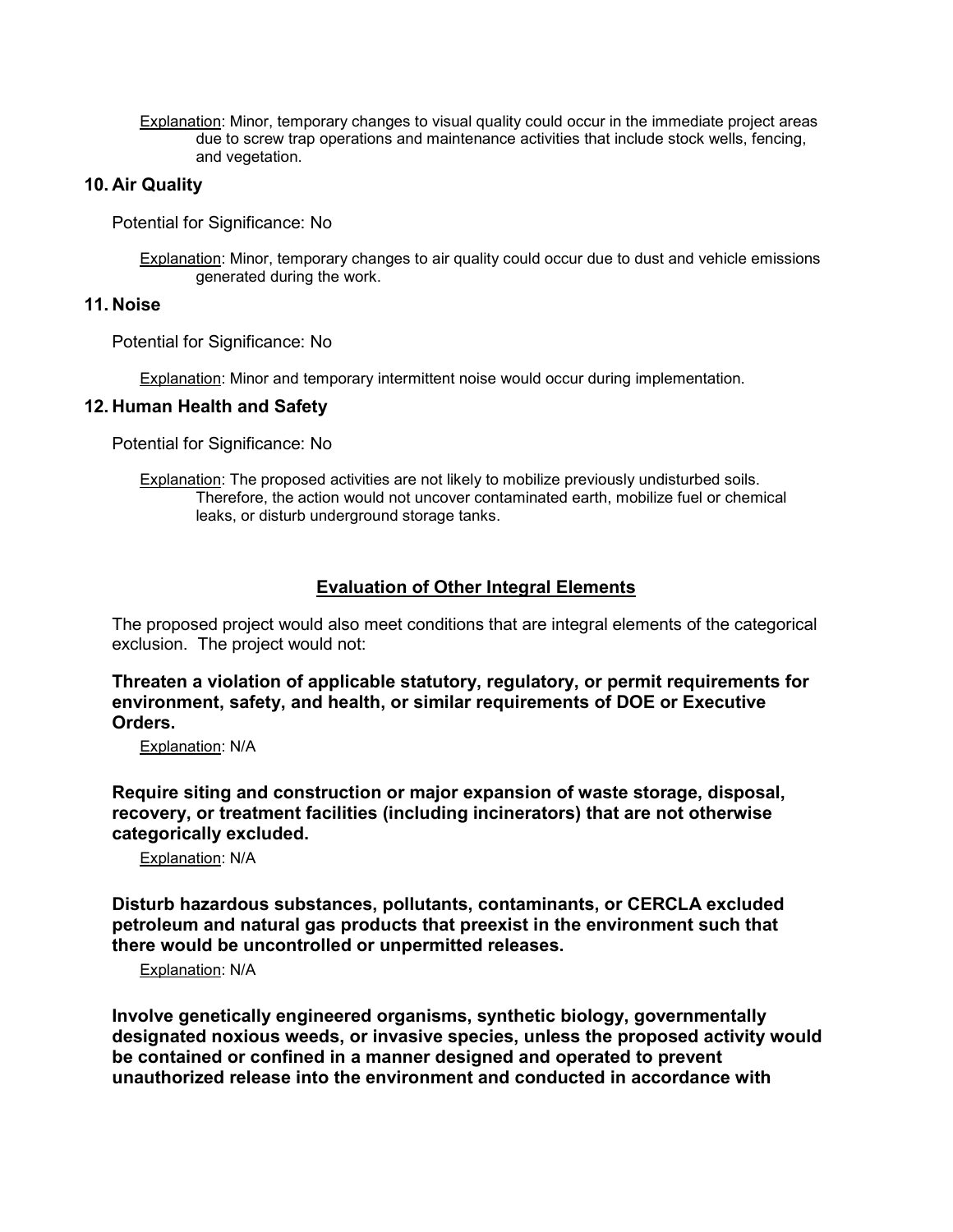Explanation: Minor, temporary changes to visual quality could occur in the immediate project areas due to screw trap operations and maintenance activities that include stock wells, fencing, and vegetation.

### **10. Air Quality**

Potential for Significance: No

Explanation: Minor, temporary changes to air quality could occur due to dust and vehicle emissions generated during the work.

#### **11. Noise**

Potential for Significance: No

Explanation: Minor and temporary intermittent noise would occur during implementation.

#### **12. Human Health and Safety**

Potential for Significance: No

Explanation: The proposed activities are not likely to mobilize previously undisturbed soils. Therefore, the action would not uncover contaminated earth, mobilize fuel or chemical leaks, or disturb underground storage tanks.

## **Evaluation of Other Integral Elements**

The proposed project would also meet conditions that are integral elements of the categorical exclusion. The project would not:

**Threaten a violation of applicable statutory, regulatory, or permit requirements for environment, safety, and health, or similar requirements of DOE or Executive Orders.**

Explanation: N/A

**Require siting and construction or major expansion of waste storage, disposal, recovery, or treatment facilities (including incinerators) that are not otherwise categorically excluded.**

Explanation: N/A

**Disturb hazardous substances, pollutants, contaminants, or CERCLA excluded petroleum and natural gas products that preexist in the environment such that there would be uncontrolled or unpermitted releases.**

Explanation: N/A

**Involve genetically engineered organisms, synthetic biology, governmentally designated noxious weeds, or invasive species, unless the proposed activity would be contained or confined in a manner designed and operated to prevent unauthorized release into the environment and conducted in accordance with**